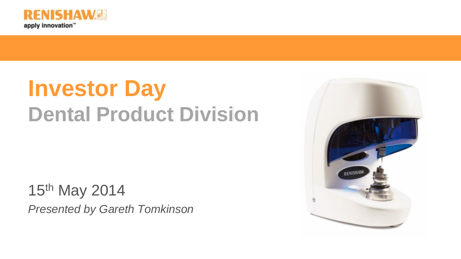

# **Investor Day Dental Product Division**

15th May 2014 *Presented by Gareth Tomkinson*

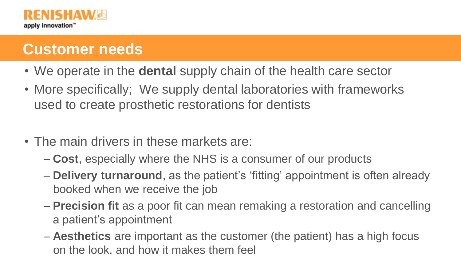

# **Customer needs**

- We operate in the **dental** supply chain of the health care sector
- More specifically; We supply dental laboratories with frameworks used to create prosthetic restorations for dentists
- The main drivers in these markets are:
	- **Cost**, especially where the NHS is a consumer of our products
	- **Delivery turnaround**, as the patient's 'fitting' appointment is often already booked when we receive the job
	- **Precision fit** as a poor fit can mean remaking a restoration and cancelling a patient's appointment
	- **Aesthetics** are important as the customer (the patient) has a high focus on the look, and how it makes them feel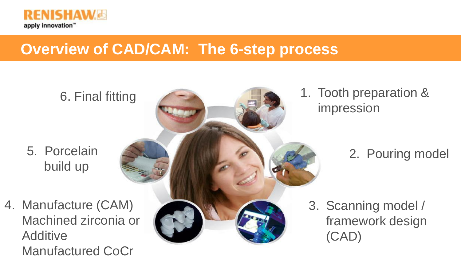

# **Overview of CAD/CAM: The 6-step process**



4. Manufacture (CAM) Machined zirconia or **Additive** Manufactured CoCr



impression

### 2. Pouring model

3. Scanning model / framework design (CAD)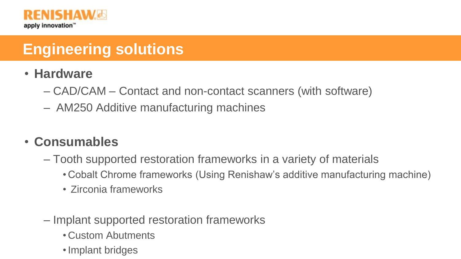

# **Engineering solutions**

- **Hardware**
	- CAD/CAM Contact and non-contact scanners (with software)
	- AM250 Additive manufacturing machines

#### • **Consumables**

- Tooth supported restoration frameworks in a variety of materials
	- Cobalt Chrome frameworks (Using Renishaw's additive manufacturing machine)
	- Zirconia frameworks
- Implant supported restoration frameworks
	- Custom Abutments
	- •Implant bridges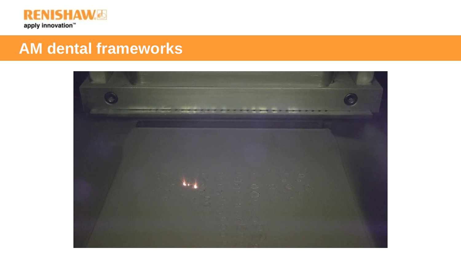

### **AM dental frameworks**